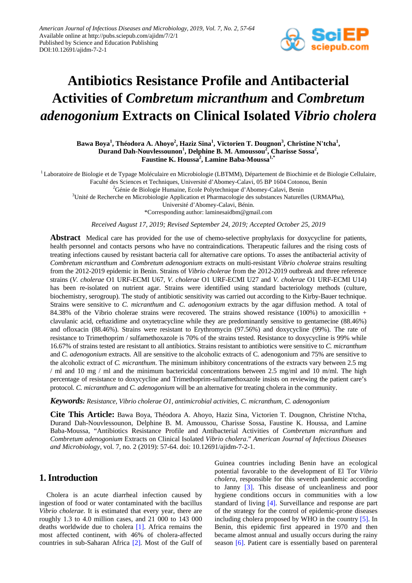

# **Antibiotics Resistance Profile and Antibacterial Activities of** *Combretum micranthum* **and** *Combretum adenogonium* **Extracts on Clinical Isolated** *Vibrio cholera*

 $\bf{B}$ awa  $\bf{Boya}^1$ , Théodora A. Ahoyo $^2$ , Haziz Sina $^1$ , Victorien T. Dougnon $^3$ , Christine N'tcha $^1$ , **Durand Dah-Nouvlessounon<sup>1</sup> , Delphine B. M. Amoussou<sup>2</sup> , Charisse Sossa<sup>2</sup> , Faustine K. Houssa<sup>2</sup> , Lamine Baba-Moussa1,\***

<sup>1</sup> Laboratoire de Biologie et de Typage Moléculaire en Microbiologie (LBTMM), Département de Biochimie et de Biologie Cellulaire, Faculté des Sciences et Techniques, Université d'Abomey-Calavi, 05 BP 1604 Cotonou, Benin

<sup>2</sup>Génie de Biologie Humaine, Ecole Polytechnique d'Abomey-Calavi, Benin

<sup>3</sup>Unité de Recherche en Microbiologie Application et Pharmacologie des substances Naturelles (URMAPha),

Université d'Abomey-Calavi, Bénin.

\*Corresponding author: laminesaidbm@gmail.com

*Received August 17, 2019; Revised September 24, 2019; Accepted October 25, 2019*

**Abstract** Medical care has provided for the use of chemo-selective prophylaxis for doxycycline for patients, health personnel and contacts persons who have no contraindications. Therapeutic failures and the rising costs of treating infections caused by resistant bacteria call for alternative care options. To asses the antibacterial activity of *Combretum micranthum* and *Combretum adenogonium* extracts on multi-resistant *Vibrio cholerae* strains resulting from the 2012-2019 epidemic in Benin. Strains of *Vibrio cholerae* from the 2012-2019 outbreak and three reference strains (*V. cholerae* O1 URF-ECMI U67, *V. cholerae* O1 URF-ECMI U27 and *V. cholerae* O1 URF-ECMI U14) has been re-isolated on nutrient agar. Strains were identified using standard bacteriology methods (culture, biochemistry, serogroup). The study of antibiotic sensitivity was carried out according to the Kirby-Bauer technique. Strains were sensitive to *C. micranthum* and *C. adenogonium* extracts by the agar diffusion method. A total of 84.38% of the Vibrio cholerae strains were recovered. The strains showed resistance (100%) to amoxicillin + clavulanic acid, ceftazidime and oxytetracycline while they are predominantly sensitive to gentamecine (88.46%) and ofloxacin (88.46%). Strains were resistant to Erythromycin (97.56%) and doxycycline (99%). The rate of resistance to Trimethoprim / sulfamethoxazole is 70% of the strains tested. Resistance to doxycycline is 99% while 16.67% of strains tested are resistant to all antibiotics. Strains resistant to antibiotics were sensitive to *C. micranthum* and *C. adenogonium* extracts. All are sensitive to the alcoholic extracts of C. adenogonium and 75% are sensitive to the alcoholic extract of *C. micranthum*. The minimum inhibitory concentrations of the extracts vary between 2.5 mg / ml and 10 mg / ml and the minimum bactericidal concentrations between 2.5 mg/ml and 10 m/ml. The high percentage of resistance to doxycycline and Trimethoprim-sulfamethoxazole insists on reviewing the patient care's protocol. *C. micranthum* and *C. adenogonium* will be an alternative for treating cholera in the community.

*Keywords: Resistance, Vibrio cholerae O1, antimicrobial activities, C. micranthum, C. adenogonium*

**Cite This Article:** Bawa Boya, Théodora A. Ahoyo, Haziz Sina, Victorien T. Dougnon, Christine N'tcha, Durand Dah-Nouvlessounon, Delphine B. M. Amoussou, Charisse Sossa, Faustine K. Houssa, and Lamine Baba-Moussa, "Antibiotics Resistance Profile and Antibacterial Activities of *Combretum micranthum* and *Combretum adenogonium* Extracts on Clinical Isolated *Vibrio cholera*." *American Journal of Infectious Diseases and Microbiology*, vol. 7, no. 2 (2019): 57-64. doi: 10.12691/ajidm-7-2-1.

# **1. Introduction**

Cholera is an acute diarrheal infection caused by ingestion of food or water contaminated with the bacillus *Vibrio cholerae.* It is estimated that every year, there are roughly 1.3 to 4.0 million cases, and 21 000 to 143 000 deaths worldwide due to cholera [\[1\].](#page-6-0) Africa remains the most affected continent, with 46% of cholera-affected countries in sub-Saharan Africa [\[2\].](#page-6-1) Most of the Gulf of Guinea countries including Benin have an ecological potential favorable to the development of El Tor *Vibrio cholera*, responsible for this seventh pandemic according to Janny [\[3\].](#page-6-2) This disease of uncleanliness and poor hygiene conditions occurs in communities with a low standard of living [\[4\].](#page-6-3) Surveillance and response are part of the strategy for the control of epidemic-prone diseases including cholera proposed by WHO in the country [\[5\].](#page-6-4) In Benin, this epidemic first appeared in 1970 and then became almost annual and usually occurs during the rainy season [\[6\].](#page-6-5) Patient care is essentially based on parenteral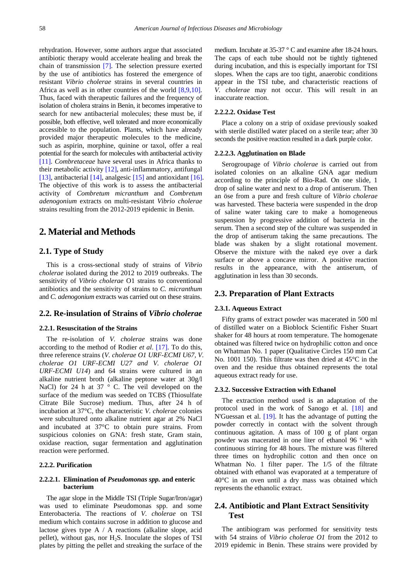rehydration. However, some authors argue that associated antibiotic therapy would accelerate healing and break the chain of transmission [\[7\].](#page-6-6) The selection pressure exerted by the use of antibiotics has fostered the emergence of resistant *Vibrio cholerae* strains in several countries in Africa as well as in other countries of the world [\[8,9,10\].](#page-6-7) Thus, faced with therapeutic failures and the frequency of isolation of cholera strains in Benin, it becomes imperative to search for new antibacterial molecules; these must be, if possible, both effective, well tolerated and more economically accessible to the population. Plants, which have already provided major therapeutic molecules to the medicine, such as aspirin, morphine, quinine or taxol, offer a real potential for the search for molecules with antibacterial activity [\[11\].](#page-6-8) *Combretaceae* have several uses in Africa thanks to their metabolic activity [\[12\],](#page-6-9) anti-inflammatory, antifungal [\[13\],](#page-6-10) antibacterial [\[14\],](#page-6-11) analgesic [\[15\]](#page-6-12) and antioxidan[t \[16\].](#page-6-13) The objective of this work is to assess the antibacterial activity of *Combretum micranthum* and *Combretum adenogonium* extracts on multi-resistant *Vibrio cholerae* strains resulting from the 2012-2019 epidemic in Benin.

# **2. Material and Methods**

#### **2.1. Type of Study**

This is a cross-sectional study of strains of *Vibrio cholerae* isolated during the 2012 to 2019 outbreaks. The sensitivity of *Vibrio cholerae* O1 strains to conventional antibiotics and the sensitivity of strains to *C. micranthum* and *C. adenogonium* extracts was carried out on these strains.

#### **2.2. Re-insulation of Strains of** *Vibrio cholerae*

#### **2.2.1. Resuscitation of the Strains**

The re-isolation of *V. cholerae* strains was done according to the method of Rodier *et al*. [\[17\].](#page-6-14) To do this, three reference strains (*V. cholerae O1 URF-ECMI U67, V. cholerae O1 URF-ECMI U27 and V. cholerae O1 URF-ECMI U14*) and 64 strains were cultured in an alkaline nutrient broth (alkaline peptone water at 30g/l NaCl) for 24 h at 37  $\degree$  C. The veil developed on the surface of the medium was seeded on TCBS (Thiosulfate Citrate Bile Sucrose) medium. Thus, after 24 h of incubation at 37°C, the characteristic *V. cholerae* colonies were subcultured onto alkaline nutrient agar at 2% NaCl and incubated at 37°C to obtain pure strains. From suspicious colonies on GNA: fresh state, Gram stain, oxidase reaction, sugar fermentation and agglutination reaction were performed.

#### **2.2.2. Purification**

#### **2.2.2.1. Elimination of** *Pseudomonas spp.* **and enteric bacterium**

The agar slope in the Middle TSI (Triple Sugar/Iron/agar) was used to eliminate Pseudomonas spp. and some Enterobacteria. The reactions of *V. cholerae* on TSI medium which contains sucrose in addition to glucose and lactose gives type A / A reactions (alkaline slope, acid pellet), without gas, nor  $H_2S$ . Inoculate the slopes of TSI plates by pitting the pellet and streaking the surface of the medium. Incubate at 35-37 ° C and examine after 18-24 hours. The caps of each tube should not be tightly tightened during incubation, and this is especially important for TSI slopes. When the caps are too tight, anaerobic conditions appear in the TSI tube, and characteristic reactions of *V. cholerae* may not occur. This will result in an inaccurate reaction.

#### **2.2.2.2. Oxidase Test**

Place a colony on a strip of oxidase previously soaked with sterile distilled water placed on a sterile tear; after 30 seconds the positive reaction resulted in a dark purple color.

#### **2.2.2.3. Agglutination on Blade**

Serogroupage of *Vibrio cholerae* is carried out from isolated colonies on an alkaline GNA agar medium according to the principle of Bio-Rad. On one slide, 1 drop of saline water and next to a drop of antiserum. Then an öse from a pure and fresh culture of *Vibrio cholerae* was harvested. These bacteria were suspended in the drop of saline water taking care to make a homogeneous suspension by progressive addition of bacteria in the serum. Then a second step of the culture was suspended in the drop of antiserum taking the same precautions. The blade was shaken by a slight rotational movement. Observe the mixture with the naked eye over a dark surface or above a concave mirror. A positive reaction results in the appearance, with the antiserum, of agglutination in less than 30 seconds.

#### **2.3. Preparation of Plant Extracts**

#### **2.3.1. Aqueous Extract**

Fifty grams of extract powder was macerated in 500 ml of distilled water on a Bioblock Scientific Fisher Stuart shaker for 48 hours at room temperature. The homogenate obtained was filtered twice on hydrophilic cotton and once on Whatman No. 1 paper (Qualitative Circles 150 mm Cat No. 1001 150). This filtrate was then dried at 45°C in the oven and the residue thus obtained represents the total aqueous extract ready for use.

#### **2.3.2. Successive Extraction with Ethanol**

The extraction method used is an adaptation of the protocol used in the work of Sanogo et al. [\[18\]](#page-6-15) and N'Guessan et al. [\[19\].](#page-6-16) It has the advantage of putting the powder correctly in contact with the solvent through continuous agitation. A mass of 100 g of plant organ powder was macerated in one liter of ethanol 96 ° with continuous stirring for 48 hours. The mixture was filtered three times on hydrophilic cotton and then once on Whatman No. 1 filter paper. The 1/5 of the filtrate obtained with ethanol was evaporated at a temperature of 40°C in an oven until a dry mass was obtained which represents the ethanolic extract.

## **2.4. Antibiotic and Plant Extract Sensitivity Test**

The antibiogram was performed for sensitivity tests with 54 strains of *Vibrio cholerae O1* from the 2012 to 2019 epidemic in Benin. These strains were provided by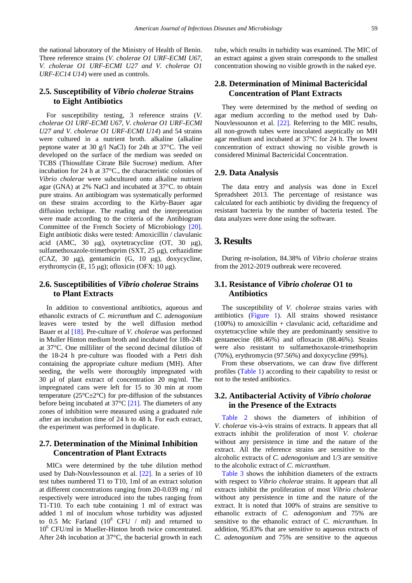the national laboratory of the Ministry of Health of Benin. Three reference strains (*V. cholerae O1 URF-ECMI U67, V. cholerae O1 URF-ECMI U27 and V. cholerae O1 URF-EC14 U14*) were used as controls.

## **2.5. Susceptibility of** *Vibrio cholerae* **Strains to Eight Antibiotics**

For susceptibility testing, 3 reference strains (*V. cholerae O1 URF-ECMI U67, V. cholerae O1 URF-ECMI U27 and V. cholerae O1 URF-ECMI U14*) and 54 strains were cultured in a nutrient broth. alkaline (alkaline peptone water at 30 g/l NaCl) for 24h at 37°C. The veil developed on the surface of the medium was seeded on TCBS (Thiosulfate Citrate Bile Sucrose) medium. After incubation for 24 h at 37°C., the characteristic colonies of *Vibrio cholerae* were subcultured onto alkaline nutrient agar (GNA) at 2% NaCl and incubated at 37°C. to obtain pure strains. An antibiogram was systematically performed on these strains according to the Kirby-Bauer agar diffusion technique. The reading and the interpretation were made according to the criteria of the Antibiogram Committee of the French Society of Microbiology [\[20\].](#page-6-17) Eight antibiotic disks were tested: Amoxicillin / clavulanic acid (AMC, 30 μg), oxytetracycline (OT, 30 μg), sulfamethoxazole-trimethoprim (SXT, 25 μg), ceftazidime (CAZ, 30 μg), gentamicin (G, 10 μg), doxycycline, erythromycin (E, 15 μg); ofloxicin (OFX: 10 μg).

## **2.6. Susceptibilities of** *Vibrio cholerae* **Strains to Plant Extracts**

In addition to conventional antibiotics, aqueous and ethanolic extracts of *C. micranthum* and *C*. *adenogonium* leaves were tested by the well diffusion method Bauer et al [\[18\].](#page-6-15) Pre-culture of *V. cholerae* was performed in Muller Hinton medium broth and incubated for 18h-24h at 37°C. One milliliter of the second decimal dilution of the 18-24 h pre-culture was flooded with a Petri dish containing the appropriate culture medium (MH). After seeding, the wells were thoroughly impregnated with 30 µl of plant extract of concentration 20 mg/ml. The impregnated cans were left for 15 to 30 min at room temperature ( $25^{\circ}$ C $\pm$ 2°C) for pre-diffusion of the substances before being incubated at 37°C [\[21\].](#page-6-18) The diameters of any zones of inhibition were measured using a graduated rule after an incubation time of 24 h to 48 h. For each extract, the experiment was performed in duplicate.

## **2.7. Determination of the Minimal Inhibition Concentration of Plant Extracts**

MICs were determined by the tube dilution method used by Dah-Nouvlessounon et al. [\[22\].](#page-6-19) In a series of 10 test tubes numbered T1 to T10, 1ml of an extract solution at different concentrations ranging from 20-0.039 mg / ml respectively were introduced into the tubes ranging from T1-T10. To each tube containing 1 ml of extract was added 1 ml of inoculum whose turbidity was adjusted to 0.5 Mc Farland  $(10^8$  CFU / ml) and returned to 10<sup>6</sup> CFU/ml in Mueller-Hinton broth twice concentrated. After 24h incubation at 37°C, the bacterial growth in each tube, which results in turbidity was examined. The MIC of an extract against a given strain corresponds to the smallest concentration showing no visible growth in the naked eye.

## **2.8. Determination of Minimal Bactericidal Concentration of Plant Extracts**

They were determined by the method of seeding on agar medium according to the method used by Dah-Nouvlessounon et al. [\[22\].](#page-6-19) Referring to the MIC results, all non-growth tubes were inoculated aseptically on MH agar medium and incubated at 37°C for 24 h. The lowest concentration of extract showing no visible growth is considered Minimal Bactericidal Concentration.

#### **2.9. Data Analysis**

The data entry and analysis was done in Excel Spreadsheet 2013. The percentage of resistance was calculated for each antibiotic by dividing the frequency of resistant bacteria by the number of bacteria tested. The data analyzes were done using the software.

# **3. Results**

During re-isolation, 84.38% of *Vibrio cholerae* strains from the 2012-2019 outbreak were recovered.

## **3.1. Resistance of** *Vibrio cholerae* **O1 to Antibiotics**

The susceptibility of *V. cholerae* strains varies with antibiotics [\(Figure 1\)](#page-3-0). All strains showed resistance  $(100\%)$  to amoxicillin + clavulanic acid, ceftazidime and oxytetracycline while they are predominantly sensitive to gentamecine (88.46%) and ofloxacin (88.46%). Strains were also resistant to sulfamethoxazole-trimethoprim (70%), erythromycin (97.56%) and doxycycline (99%).

From these observations, we can draw five different profiles [\(Table 1\)](#page-3-1) according to their capability to resist or not to the tested antibiotics.

#### **3.2. Antibacterial Activity of** *Vibrio cholorae*  **in the Presence of the Extracts**

[Table 2](#page-3-2) shows the diameters of inhibition of *V. cholerae* vis-à-vis strains of extracts. It appears that all extracts inhibit the proliferation of most *V. cholerae* without any persistence in time and the nature of the extract. All the reference strains are sensitive to the alcoholic extracts of *C. adenogonium* and 1/3 are sensitive to the alcoholic extract of *C*. *micranthum*.

[Table 3](#page-4-0) shows the inhibition diameters of the extracts with respect to *Vibrio cholerae* strains. It appears that all extracts inhibit the proliferation of most *Vibrio cholerae* without any persistence in time and the nature of the extract. It is noted that 100% of strains are sensitive to ethanolic extracts of *C. adenogonium* and 75% are sensitive to the ethanolic extract of C. *micranthum*. In addition, 95.83% that are sensitive to aqueous extracts of *C. adenogonium* and 75% are sensitive to the aqueous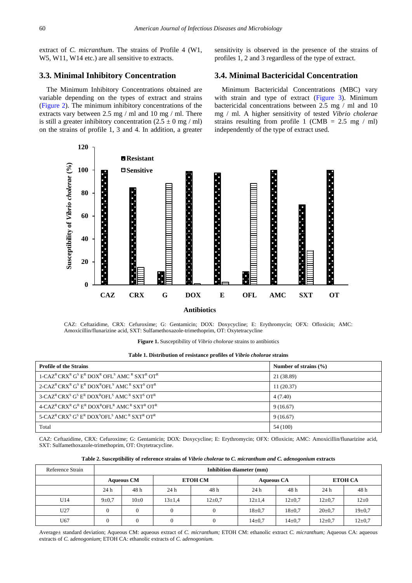extract of *C. micranthum*. The strains of Profile 4 (W1, W5, W11, W14 etc.) are all sensitive to extracts.

#### **3.3. Minimal Inhibitory Concentration**

The Minimum Inhibitory Concentrations obtained are variable depending on the types of extract and strains [\(Figure 2\)](#page-4-1). The minimum inhibitory concentrations of the extracts vary between 2.5 mg / ml and 10 mg / ml. There is still a greater inhibitory concentration  $(2.5 \pm 0 \text{ mg } / \text{ ml})$ on the strains of profile 1, 3 and 4. In addition, a greater sensitivity is observed in the presence of the strains of profiles 1, 2 and 3 regardless of the type of extract.

### **3.4. Minimal Bactericidal Concentration**

Minimum Bactericidal Concentrations (MBC) vary with strain and type of extract [\(Figure 3\)](#page-5-0). Minimum bactericidal concentrations between 2.5 mg / ml and 10 mg / ml. A higher sensitivity of tested *Vibrio cholerae* strains resulting from profile 1 (CMB =  $2.5 \, \text{mg}$  / ml) independently of the type of extract used.

<span id="page-3-0"></span>

CAZ: Ceftazidime, CRX: Cefuroxime; G: Gentamicin; DOX: Doxycycline; E: Erythromycin; OFX: Ofloxicin; AMC: Amoxicillin/flunarizine acid, SXT: Sulfamethoxazole-trimethoprim, OT: Oxytetracycline

**Figure 1.** Susceptibility of *Vibrio cholorae* strains to antibiotics

| Table 1. Distribution of resistance profiles of Vibrio cholorae strains |  |  |  |  |
|-------------------------------------------------------------------------|--|--|--|--|
|-------------------------------------------------------------------------|--|--|--|--|

<span id="page-3-1"></span>

| <b>Profile of the Strains</b>                                                                                                                            | Number of strains $(\% )$ |
|----------------------------------------------------------------------------------------------------------------------------------------------------------|---------------------------|
| $1-CAZ^R$ CRX <sup>R</sup> G <sup>S</sup> E <sup>R</sup> DOX <sup>R</sup> OFL <sup>S</sup> AMC <sup>R</sup> SXT <sup>R</sup> OT <sup>R</sup>             | 21 (38.89)                |
| 2-CAZ <sup>R</sup> CRX <sup>R</sup> G <sup>S</sup> E <sup>R</sup> DOX <sup>R</sup> OFL <sup>S</sup> AMC <sup>R</sup> SXT <sup>S</sup> OT <sup>R</sup>    | 11(20.37)                 |
| $3$ -CAZ <sup>R</sup> CRX <sup>S</sup> G <sup>S</sup> E <sup>R</sup> DOX <sup>R</sup> OFL <sup>S</sup> AMC <sup>R</sup> SXT <sup>S</sup> OT <sup>R</sup> | 4(7.40)                   |
| $4$ -CAZ <sup>R</sup> CRX <sup>R</sup> G <sup>R</sup> E <sup>R</sup> DOX <sup>R</sup> OFL <sup>R</sup> AMC <sup>R</sup> SXT <sup>R</sup> OT <sup>R</sup> | 9(16.67)                  |
| 5-CAZ <sup>R</sup> CRX <sup>S</sup> G <sup>S</sup> E <sup>R</sup> DOX <sup>S</sup> OFL <sup>S</sup> AMC <sup>R</sup> SXT <sup>R</sup> OT <sup>R</sup>    | 9(16.67)                  |
| Total                                                                                                                                                    | 54 (100)                  |

CAZ: Ceftazidime, CRX: Cefuroxime; G: Gentamicin; DOX: Doxycycline; E: Erythromycin; OFX: Ofloxicin; AMC: Amoxicillin/flunarizine acid, SXT: Sulfamethoxazole-trimethoprim, OT: Oxytetracycline.

| Table 2. Susceptibility of reference strains of Vibrio cholerae to C. micranthum and C. adenogonium extracts |  |  |  |  |  |
|--------------------------------------------------------------------------------------------------------------|--|--|--|--|--|
|--------------------------------------------------------------------------------------------------------------|--|--|--|--|--|

<span id="page-3-2"></span>

| Reference Strain | Inhibition diameter (mm) |                   |                |          |                   |              |                |              |  |  |
|------------------|--------------------------|-------------------|----------------|----------|-------------------|--------------|----------------|--------------|--|--|
|                  |                          | <b>Aqueous CM</b> | <b>ETOH CM</b> |          | <b>Aqueous CA</b> |              | <b>ETOH CA</b> |              |  |  |
|                  | 24 h                     | 48 h              | 24 h           | 48 h     | 24h               | 48 h         | 24h            | 48 h         |  |  |
| U14              | $9 + 0.7$                | $10\pm 0$         | $13 \pm 1.4$   | $12+0.7$ | $12+1.4$          | $12 \pm 0.7$ | $12 \pm 0.7$   | $12 \pm 0$   |  |  |
| U27              | $\theta$                 |                   |                |          | $18+0.7$          | $18 \pm 0.7$ | $20 \pm 0.7$   | $19 \pm 0.7$ |  |  |
| U67              | $\theta$                 |                   |                |          | $14\pm0.7$        | $14\pm0.7$   | $12 \pm 0.7$   | $12 \pm 0.7$ |  |  |

Average± standard deviation; Aqueous CM: aqueous extract of *C. micranthum;* ETOH CM: ethanolic extract *C. micranthum;* Aqueous CA: aqueous extracts of *C.* a*denogonium*; ETOH CA: ethanolic extracts of *C.* a*denogonium.*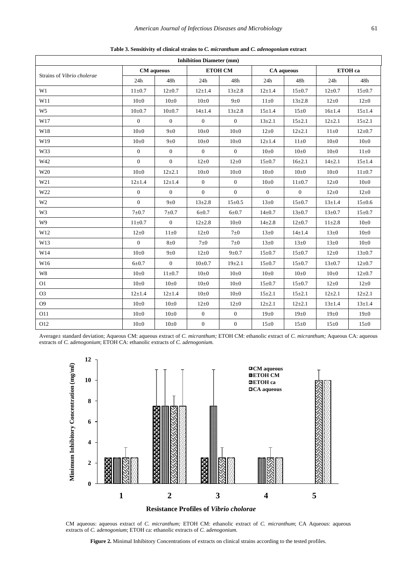<span id="page-4-0"></span>

| <b>Inhibition Diameter (mm)</b> |                   |                  |                  |                |                |                |              |              |
|---------------------------------|-------------------|------------------|------------------|----------------|----------------|----------------|--------------|--------------|
| Strains of Vibrio cholerae      | <b>CM</b> aqueous |                  | <b>ETOH CM</b>   |                | CA aqueous     |                | ETOH ca      |              |
|                                 | 24h               | 48h              | 24h              | 48h            | 24h            | 48h            | 24h          | 48h          |
| W1                              | $11 \pm 0.7$      | $12 \pm 0.7$     | $12 + 1.4$       | $13 \pm 2.8$   | $12 \pm 1.4$   | $15 \pm 0.7$   | $12 \pm 0.7$ | $15 \pm 0.7$ |
| W11                             | $10\pm 0$         | $10\pm 0$        | $10\pm 0$        | $9\pm0$        | $11\pm0$       | $13 \pm 2.8$   | $12\pm0$     | $12\pm0$     |
| W <sub>5</sub>                  | $10\pm 0.7$       | $10\pm 0.7$      | $14 + 1.4$       | $13 + 2.8$     | $15 + 1.4$     | $15\pm0$       | $16 \pm 1.4$ | $15 \pm 1.4$ |
| W17                             | $\mathbf{0}$      | $\mathbf{0}$     | $\overline{0}$   | $\overline{0}$ | $13 \pm 2.1$   | $15 + 2.1$     | $12+2.1$     | $15 + 2.1$   |
| W18                             | $10\pm 0$         | $9\pm0$          | $10\pm 0$        | $10\pm 0$      | $12\pm0$       | $12 + 2.1$     | $11\pm0$     | $12 \pm 0.7$ |
| W19                             | $10\pm 0$         | $9\pm0$          | $10\pm 0$        | $10\pm 0$      | $12 \pm 1.4$   | $11\pm0$       | $10\pm 0$    | $10\pm 0$    |
| W33                             | $\boldsymbol{0}$  | $\boldsymbol{0}$ | $\boldsymbol{0}$ | $\mathbf{0}$   | $10\pm 0$      | $10\pm 0$      | $10\pm 0$    | $11\pm0$     |
| W42                             | $\mathbf{0}$      | $\overline{0}$   | $12\pm0$         | $12\pm0$       | $15 \pm 0.7$   | $16 + 2.1$     | $14 + 2.1$   | $15 + 1.4$   |
| W <sub>20</sub>                 | $10\pm 0$         | $12+2.1$         | $10\pm 0$        | $10\pm 0$      | $10\pm 0$      | $10\pm 0$      | $10\pm 0$    | $11 \pm 0.7$ |
| W21                             | $12 + 1.4$        | $12 + 1.4$       | $\mathbf{0}$     | $\overline{0}$ | $10\pm 0$      | $11 \pm 0.7$   | $12\pm0$     | $10\pm 0$    |
| W22                             | $\boldsymbol{0}$  | $\mathbf{0}$     | $\mathbf{0}$     | $\overline{0}$ | $\overline{0}$ | $\overline{0}$ | $12\pm0$     | $12\pm0$     |
| W <sub>2</sub>                  | $\overline{0}$    | $9\pm0$          | $13 + 2.8$       | $15 \pm 0.5$   | $13\pm0$       | $15 \pm 0.7$   | $13 + 1.4$   | $15 \pm 0.6$ |
| W <sub>3</sub>                  | $7\pm0.7$         | $7\pm0.7$        | $6 + 0.7$        | $6 + 0.7$      | $14 \pm 0.7$   | $13 \pm 0.7$   | $13 \pm 0.7$ | $15 \pm 0.7$ |
| W <sub>9</sub>                  | $11 \pm 0.7$      | $\mathbf{0}$     | $12 + 2.8$       | $10\pm 0$      | $14 + 2.8$     | $12 \pm 0.7$   | $11\pm 2.8$  | $10\pm 0$    |
| W12                             | $12\pm0$          | $11\pm0$         | $12\pm0$         | $7\pm0$        | $13\pm0$       | $14 + 1.4$     | $13\pm0$     | $10\pm 0$    |
| W13                             | $\mathbf{0}$      | $8\pm0$          | $7\pm0$          | $7\pm0$        | $13\pm0$       | $13\pm0$       | $13\pm0$     | $10\pm 0$    |
| W14                             | $10\pm 0$         | $9\pm0$          | $12\pm0$         | $9 + 0.7$      | $15 \pm 0.7$   | $15 \pm 0.7$   | $12\pm0$     | $13 \pm 0.7$ |
| W16                             | $6 + 0.7$         | $\boldsymbol{0}$ | $10{\pm}0.7$     | 19±2.1         | $15 \pm 0.7$   | $15 \pm 0.7$   | $13 \pm 0.7$ | $12 \pm 0.7$ |
| W8                              | $10\pm 0$         | $11 \pm 0.7$     | $10\pm 0$        | $10\pm 0$      | $10\pm 0$      | $10\pm 0$      | $10\pm 0$    | $12 \pm 0.7$ |
| O <sub>1</sub>                  | $10\pm 0$         | $10\pm 0$        | $10\pm 0$        | $10\pm 0$      | $15 \pm 0.7$   | $15 \pm 0.7$   | $12\pm0$     | $12\pm0$     |
| O <sub>3</sub>                  | $12 + 1.4$        | $12 \pm 1.4$     | $10\pm 0$        | $10\pm 0$      | $15 + 2.1$     | $15 + 2.1$     | $12+2.1$     | $12 + 2.1$   |
| O <sub>9</sub>                  | $10\pm 0$         | $10\pm 0$        | $12\pm0$         | $12\pm0$       | $12\pm 2.1$    | $12 + 2.1$     | $13 + 1.4$   | $13 \pm 1.4$ |
| O11                             | $10\pm 0$         | $10\pm 0$        | $\boldsymbol{0}$ | $\mathbf{0}$   | $19\pm0$       | $19\pm0$       | $19\pm0$     | $19\pm0$     |
| O12                             | $10\pm 0$         | $10\pm 0$        | $\mathbf{0}$     | $\overline{0}$ | $15\pm0$       | 15 ± 0         | $15\pm0$     | $15\pm0$     |

**Table 3. Sensitivity of clinical strains to** *C. micranthum* **and** *C. adenogonium* **extract**

<span id="page-4-1"></span>Average± standard deviation; Aqueous CM: aqueous extract of *C. micranthum;* ETOH CM: ethanolic extract of *C. micranthum;* Aqueous CA: aqueous extracts of *C.* a*denogonium*; ETOH CA: ethanolic extracts of *C.* a*denogonium.*



CM aqueous: aqueous extract of *C. micranthum;* ETOH CM: ethanolic extract of *C. micranthum*; CA Aqueous: aqueous extracts of *C.* a*denogonium*; ETOH ca: ethanolic extracts of *C.* a*denogonium.*

**Figure 2.** Minimal Inhibitory Concentrations of extracts on clinical strains according to the tested profiles.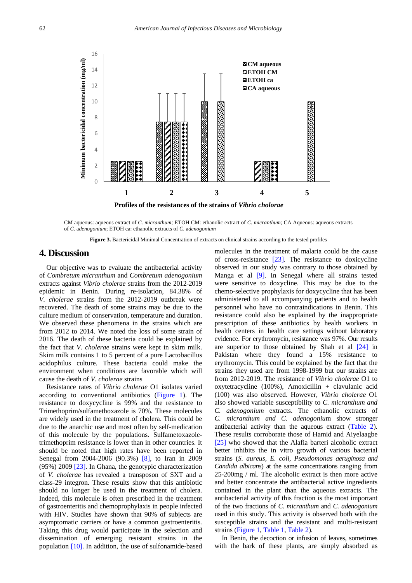<span id="page-5-0"></span>

CM aqueous: aqueous extract of *C. micranthum;* ETOH CM: ethanolic extract of *C. micranthum*; CA Aqueous: aqueous extracts of *C.* a*denogonium*; ETOH ca: ethanolic extracts of *C.* a*denogonium*

**Figure 3.** Bactericidal Minimal Concentration of extracts on clinical strains according to the tested profiles

# **4. Discussion**

Our objective was to evaluate the antibacterial activity of *Combretum micranthum* and *Combretum adenogonium* extracts against *Vibrio cholerae* strains from the 2012-2019 epidemic in Benin. During re-isolation, 84.38% of *V. cholerae* strains from the 2012-2019 outbreak were recovered. The death of some strains may be due to the culture medium of conservation, temperature and duration. We observed these phenomena in the strains which are from 2012 to 2014. We noted the loss of some strain of 2016. The death of these bacteria could be explained by the fact that *V. cholerae* strains were kept in skim milk. Skim milk contains 1 to 5 percent of a pure Lactobacillus acidophilus culture. These bacteria could make the environment when conditions are favorable which will cause the death of *V. cholerae* strains

Resistance rates of *Vibrio cholerae* O1 isolates varied according to conventional antibiotics [\(Figure 1\)](#page-3-0). The resistance to doxycycline is 99% and the resistance to Trimethoprim/sulfamethoxazole is 70%. These molecules are widely used in the treatment of cholera. This could be due to the anarchic use and most often by self-medication of this molecule by the populations. Sulfametoxazoletrimethoprim resistance is lower than in other countries. It should be noted that high rates have been reported in Senegal from 2004-2006 (90.3%) [\[8\],](#page-6-7) to Iran in 2009 (95%) 2009 [\[23\].](#page-6-20) In Ghana, the genotypic characterization of *V. cholerae* has revealed a transposon of SXT and a class-29 integron. These results show that this antibiotic should no longer be used in the treatment of cholera. Indeed, this molecule is often prescribed in the treatment of gastroenteritis and chemoprophylaxis in people infected with HIV. Studies have shown that 90% of subjects are asymptomatic carriers or have a common gastroenteritis. Taking this drug would participate in the selection and dissemination of emerging resistant strains in the population [\[10\].](#page-6-21) In addition, the use of sulfonamide-based

molecules in the treatment of malaria could be the cause of cross-resistance [\[23\].](#page-6-20) The resistance to doxicycline observed in our study was contrary to those obtained by Manga et al [\[9\].](#page-6-22) In Senegal where all strains tested were sensitive to doxycline. This may be due to the chemo-selective prophylaxis for doxycycline that has been administered to all accompanying patients and to health personnel who have no contraindications in Benin. This resistance could also be explained by the inappropriate prescription of these antibiotics by health workers in health centers in health care settings without laboratory evidence. For erythromycin, resistance was 97%. Our results are superior to those obtained by Shah et al [\[24\]](#page-6-23) in Pakistan where they found a 15% resistance to erythromycin. This could be explained by the fact that the strains they used are from 1998-1999 but our strains are from 2012-2019. The resistance of *Vibrio cholerae* O1 to oxytetracycline (100%), Amoxicillin + clavulanic acid (100) was also observed. However, *Vibrio cholerae* O1 also showed variable susceptibility to *C. micranthum and C. adenogonium* extracts. The ethanolic extracts of *C. micranthum and C. adenogoniu*m show stronger antibacterial activity than the aqueous extract [\(Table 2\)](#page-3-2). These results corroborate those of Hamid and Aiyelaagbe [\[25\]](#page-7-0) who showed that the Alafia barteri alcoholic extract better inhibits the in vitro growth of various bacterial strains (*S. aureus, E. coli, Pseudomonas aeruginosa and Candida albicans*) at the same concentrations ranging from 25-200mg / ml. The alcoholic extract is then more active and better concentrate the antibacterial active ingredients contained in the plant than the aqueous extracts. The antibacterial activity of this fraction is the most important of the two fractions of *C. micranthum* and *C. adenogonium* used in this study. This activity is observed both with the susceptible strains and the resistant and multi-resistant strains [\(Figure 1,](#page-3-0) [Table 1,](#page-3-1) [Table 2\)](#page-3-2).

In Benin, the decoction or infusion of leaves, sometimes with the bark of these plants, are simply absorbed as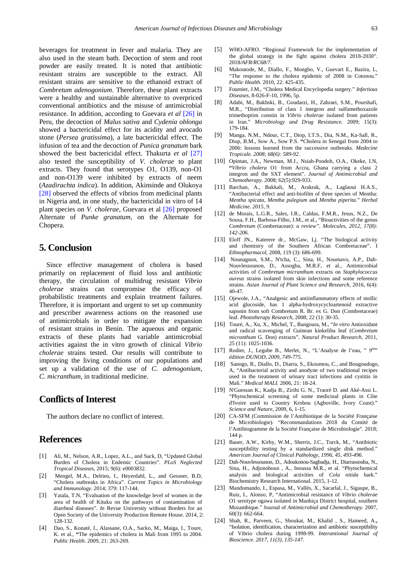beverages for treatment in fever and malaria. They are also used in the steam bath. Decoction of stem and root powder are easily treated. It is noted that antibiotic resistant strains are susceptible to the extract. All resistant strains are sensitive to the ethanoid extract of *Combretum adenogonium*. Therefore, these plant extracts were a healthy and sustainable alternative to overpriced conventional antibiotics and the misuse of antimicrobial resistance. In addition, according to Guevara *et al* [\[26\]](#page-7-1) in Peru, the decoction of *Malus sativa* and *Cydenia oblonga* showed a bactericidal effect for its acidity and avocado stone (*Persea gratissima*), a late bactericidal effect. The infusion of tea and the decoction of *Punica granatum* bark showed the best bactericidal effect. Thakurta *et al* [\[27\]](#page-7-2) also tested the susceptibility of *V. cholerae* to plant extracts. They found that serotypes O1, O139, non-O1 and non-O139 were inhibited by extracts of neem (*Azadirachta indica*). In addition, Akinsinde and Olukoya [\[28\]](#page-7-3) observed the effects of vibrios from medicinal plants in Nigeria and, in one study, the bactericidal in vitro of 14 plant species on *V. cholerae*, Guevara et al [\[26\]](#page-7-1) proposed Alternate of *Punke granatum*, on the Alternate for Chopera.

# **5. Conclusion**

Since effective management of cholera is based primarily on replacement of fluid loss and antibiotic therapy, the circulation of multidrug resistant *Vibrio cholerae* strains can compromise the efficacy of probabilistic treatments and explain treatment failures. Therefore, it is important and urgent to set up community and prescriber awareness actions on the reasoned use of antimicrobials in order to mitigate the expansion of resistant strains in Benin. The aqueous and organic extracts of these plants had variable antimicrobial activities against the in vitro growth of clinical *Vibrio cholerae* strains tested. Our results will contribute to improving the living conditions of our populations and set up a validation of the use of *C. adenogonium, C. micranthum*, in traditional medicine.

# **Conflicts of Interest**

The authors declare no conflict of interest.

## **References**

- <span id="page-6-0"></span>[1] Ali, M., Nelson, A.R., Lopez, A.L., and Sack, D, "Updated Global Burden of Cholera in Endemic Countries". *PLoS Neglected Tropical Diseases*, 2015; 9(6): e0003832.
- <span id="page-6-1"></span>[2] Mengel, M.A., Delrieu, I., Heyerdahl, L., and Gessner, B.D, "Cholera outbreaks in Africa". *Current Topics in Microbiology and Immunology*. 2014; 379: 117-144.
- <span id="page-6-2"></span>[3] Yatala, T.N, "Evaluation of the knowledge level of women in the area of health of Kituku on the pathways of contamination of diarrheal diseases". *In* Revue University without Borders for an Open Society of the University Production Remote House. 2014, 2: 128-132*.*
- <span id="page-6-3"></span>[4] Dao, S., Konaté, I., Alassane, O.A., Sacko, M., Maiga, I., Toure, K. et al., **"**The epidemics of cholera in Mali from 1995 to 2004. *Public Health*. 2009, 21: 263-269*.*
- <span id="page-6-4"></span>[5] WHO-AFRO. "Regional Framework for the implementation of the global strategy in the fight against cholera 2018-2030". 2018*/AFR/RC68/7*.
- <span id="page-6-5"></span>[6] Makoutode, M., Diallo, F., Mongbo, V., Guevart E., Bazira, L, "The response to the cholera epidemic of 2008 in Cotonou." *Public Health.* 2010, 22: 425-435.
- <span id="page-6-6"></span>[7] Fournier, J.M., "Cholera Medical Encyclopedia surgery." *Infectious Diseases,* 8-026-F-10, 1996, 5p.
- <span id="page-6-7"></span>[8] Adabi, M., Bakhski, B., Goudarzi, H., Zahraei, S.M., Pourshafi, M.R., "Distribution of class 1 integron and sulfamethoxazole trimethoprim constin in *Vibrio cholerae* isolated from patients in Iran." *Microbiology and Drug Resistance.* 2009; 15(3): 179-184.
- <span id="page-6-22"></span>[9] Manga, N.M., Ndour, C.T., Diop, I.T.S., Dia, N.M., Ka-Sall, R., Diop, B.M., Sow A., Sow P.S. **"**Cholera in Senegal from 2004 to 2006: lessons learned from the successive outbreaks. *Medecine Tropicale. 2008; 68(6): 589-92.*
- <span id="page-6-21"></span>[10] Opintan, J.A., Newman, M.J., Nsiah-Poodoh, O.A., Okeke, I.N, **"***Vibrio cholera* O1 from Accra, Ghana carrying a class 2 integron and the SXT element". *Journal of Antimicrobial and Chemotherapy*. 2008; 62(5):929-933.
- <span id="page-6-8"></span>[11] Barchan, A., Bakkali, M., Arakrak, A., Laglaoui H.A.S., "Antibacterial effect and anti-biofilm of three species of Mentha: *Mentha spicata*, *Mentha pulegium* and *Mentha piperita*." *Herbal Medicine. 2015, 9.*
- <span id="page-6-9"></span>[12] de Morais, L.G.R., Sales, I.R., Caldas, F.M.R., Jesus, N.Z., De Sousa, F.H., Barbosa-Filho, J.M., et al., "Bioactivities of the genus *Combretum* (Combretaceae): *a review". Molecules, 2012, 17(8): 142-206.*
- <span id="page-6-10"></span>[13] Eloff JN., Katerere dr., McGaw, Lj. "The biological activity and chemistry of the Southern African Combretaceae". I *Ethnopharmacol*, 2008, 119 (3): 686-699.
- <span id="page-6-11"></span>[14] Nounagnon, S.M., N'tcha, C., Sina, H., Noumavo, A.P., Dah-Nouvlessounon, D., Assogba, M.R.F, et al., Antimicrobial activities of *Combretum micranthum* extracts on *Staphylococcus aureus* strains isolated from skin infections and some reference strains. *Asian Journal of Plant Science and Research,* 2016, 6(4): 40-47.
- <span id="page-6-12"></span>[15] Ojewole, J.A., "Analgesic and antiinflammatory effects of mollic acid glucoside, has 1 alpha-hydroxycycloartenoid extractive saponin from soft Combretum R. Br. ex G. Don (Combretaceae) leaf. *Phototherapy Research,* 2008; 22 (1): 30-35.
- <span id="page-6-13"></span>[16] Touré, A., Xu, X., Michel, T., Bangoura, M., "*In vitro* Antioxidant and radical scavenging of Guinean kinkeliba leaf (*Combretum micranthum* G. Don) extracts". *Natural Product Research,* 2011, 25 (11): 1025-1036.
- <span id="page-6-14"></span>[17] Rodier, J., Legube B., Merlet, N., "L'Analyse de l'eau, " *9ème édition DUNOD, 2009, 749-775.*
- <span id="page-6-15"></span>[18] Sanogo, R., Diallo, D., Diarra, S., Ekoumou, C., and Bougoudogo, A, "Antibacterial activity and anodyne of two traditional recipes used in the treatment of urinary tract infections and cystitis in Mali." *Medical MALI.* 2006, 21: 18-24.
- <span id="page-6-16"></span>[19] N'Guessan K., Kadja B., Zirihi G. N., Traoré D. and Aké-Assi L. "Phytochemical screening of some medicinal plants in Côte d'Ivoire used to Country Krobou (Agboville, Ivory Coast)." *Science and Nature*, 2009, 6, 1-15.
- <span id="page-6-17"></span>[20] CA-SFM (Commission de l'Antibiotique de la Société Française de Microbiologie). "Recommandations 2018 du Comité de l'Antibiogramme de la Société Française de Microbiologie". 2018; 144 p.
- <span id="page-6-18"></span>[21] Bauer, A.W., Kirby, W.M., Sherris, J.C., Turck, M., "Antibiotic susceptibility testing by a standardized single disk method." *American Journal of Clinical Pathology, 1996, 45, 493-496.*
- <span id="page-6-19"></span>[22] Dah-Nouvlessounon, D., Adoukonou-Sagbadja, H., Diarrassouba, N., Sina, H., Adjonohoun , A., Inoussa M.R., et al. "Phytochemical analysis and biological activities of *Cola nitida* bark." Biochemistry Research International. 2015, 1-12.
- <span id="page-6-20"></span>[23] Mandomando, I., Espasa, M., Vallès, X., Sacarlal, J., Sigaupe, B., Ruiz, I., Alonso, P, "Antimicrobial resistance of *Vibrio cholerae* O1 serotype ogawa isolated in Manhiça District hospital, southern Mozambique." Journal of *Antimicrobial and Chemotherapy.* 2007, 60(3): 662-664.
- <span id="page-6-23"></span>[24] Shah, R., Parveen, G., Shoukat, M., Khalid , S., Hameed, A.**,** "Isolation, identification, characterization and antibiotic susceptibility of Vibrio cholera during 1998-99*. Interantional Journal of Bioscience. 2017, 11(3), 135-147.*